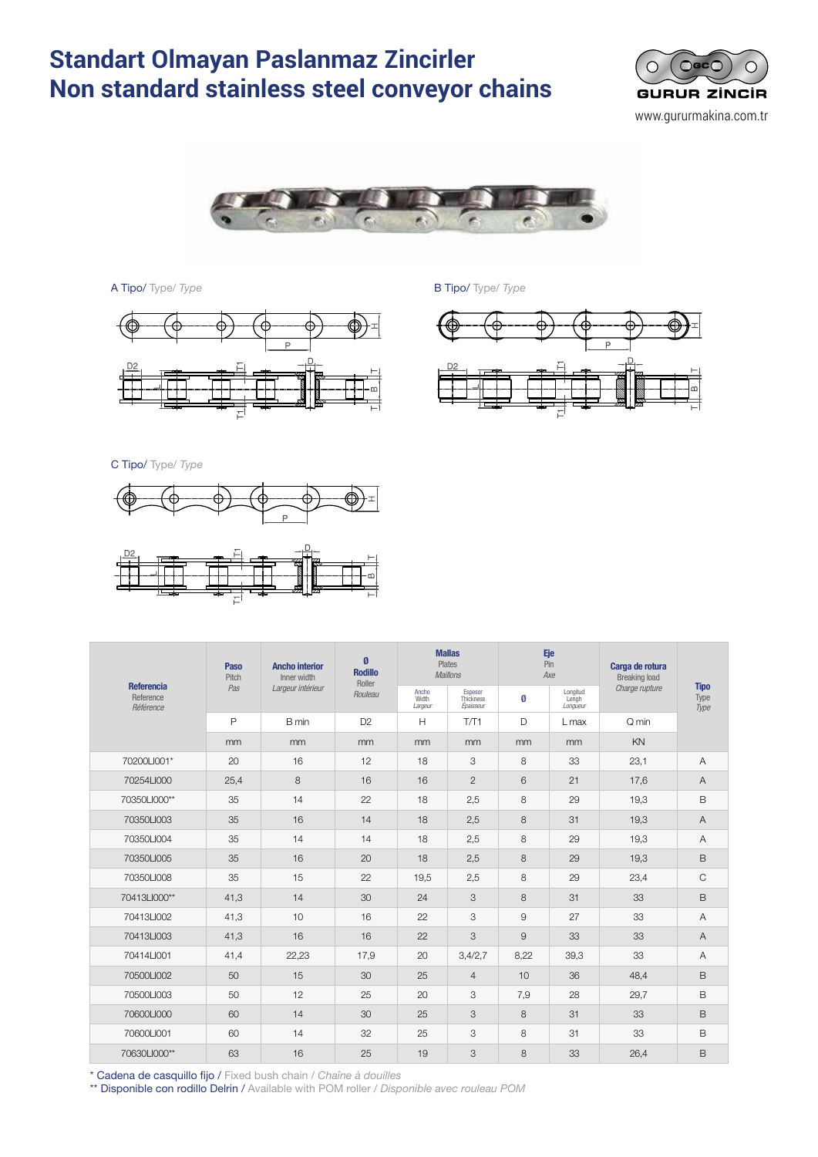#### **Standart Olmayan Paslanmaz Zincirler Non standard stainless steel conveyor chains** Non standard stainless steel conveyor chains <sup>66</sup> CADENAS TRANSPORTADORAS NO ESTÁNDAR DE ndart Olmavan Pa *Chaînes de manutention non standard acier inox*





A Tipo/ Type/ *Type* and *B* Tipo/ *Type* 





C Tipo/ Type/ *Type*



| <b>Referencia</b><br>Reference<br>Référence | Paso<br>Pitch<br>Pas | <b>Ancho interior</b><br>Inner width<br>Largeur intérieur | Ø<br><b>Rodillo</b><br>Roller<br>Rouleau |                           | <b>Mallas</b><br>Plates<br><b>Maillons</b> |      | Eje<br>Pin<br>Axe             | Carga de rotura<br><b>Breaking load</b> | <b>Tipo</b><br>Type<br>Type |  |
|---------------------------------------------|----------------------|-----------------------------------------------------------|------------------------------------------|---------------------------|--------------------------------------------|------|-------------------------------|-----------------------------------------|-----------------------------|--|
|                                             |                      |                                                           |                                          | Ancho<br>Width<br>Largeur | <b>Espesor</b><br>Thickness<br>Épaisseur   | Ø    | Longitud<br>Lengh<br>Longueur | Charge rupture                          |                             |  |
|                                             | $\mathsf{P}$         | B min                                                     | D <sub>2</sub>                           | H                         | T/T1                                       | D    | $L$ max                       | Q min                                   |                             |  |
|                                             | mm                   | mm                                                        | mm                                       | mm                        | mm                                         | mm   | mm                            | KN                                      |                             |  |
| 70200LI001*                                 | 20                   | 16                                                        | 12                                       | 18                        | 3                                          | 8    | 33                            | 23.1                                    | $\overline{A}$              |  |
| 70254LI000                                  | 25,4                 | 8                                                         | 16                                       | 16                        | $\mathbf{2}$                               | 6    | 21                            | 17,6                                    | Α                           |  |
| 70350LI000**                                | 35                   | 14                                                        | 22                                       | 18                        | 2,5                                        | 8    | 29                            | 19,3                                    | B                           |  |
| 70350LI003                                  | 35                   | 16                                                        | 14                                       | 18                        | 2,5                                        | 8    | 31                            | 19,3                                    | $\overline{A}$              |  |
| 70350LI004                                  | 35                   | 14                                                        | 14                                       | 18                        | 2,5                                        | 8    | 29                            | 19,3                                    | $\overline{A}$              |  |
| 70350LI005                                  | 35                   | 16                                                        | 20                                       | 18                        | 2,5                                        | 8    | 29                            | 19,3                                    | B                           |  |
| 70350LI008                                  | 35                   | 15                                                        | 22                                       | 19,5                      | 2,5                                        | 8    | 29                            | 23,4                                    | C                           |  |
| 70413LI000**                                | 41,3                 | 14                                                        | 30                                       | 24                        | 3                                          | 8    | 31                            | 33                                      | B                           |  |
| 70413LI002                                  | 41,3                 | 10                                                        | 16                                       | 22                        | 3                                          | 9    | 27                            | 33                                      | Α                           |  |
| 70413LI003                                  | 41,3                 | 16                                                        | 16                                       | 22                        | 3                                          | 9    | 33                            | 33                                      | A                           |  |
| 70414LI001                                  | 41.4                 | 22,23                                                     | 17,9                                     | 20                        | 3,4/2,7                                    | 8,22 | 39,3                          | 33                                      | A                           |  |
| 70500LI002                                  | 50                   | 15                                                        | 30                                       | 25                        | $\overline{4}$                             | 10   | 36                            | 48,4                                    | B                           |  |
| 70500LI003                                  | 50                   | 12                                                        | 25                                       | 20                        | 3                                          | 7,9  | 28                            | 29,7                                    | B                           |  |
| 70600LI000                                  | 60                   | 14                                                        | 30                                       | 25                        | 3                                          | 8    | 31                            | 33                                      | B                           |  |
| 70600LI001                                  | 60                   | 14                                                        | 32                                       | 25                        | 3                                          | 8    | 31                            | 33                                      | B                           |  |
| 70630LI000**                                | 63                   | 16                                                        | 25                                       | 19                        | 3                                          | 8    | 33                            | 26,4                                    | B                           |  |

\* Cadena de casquillo fijo / Fixed bush chain / *Chaîne à douilles*

\*\* Disponible con rodillo Delrin / Available with POM roller / *Disponible avec rouleau POM*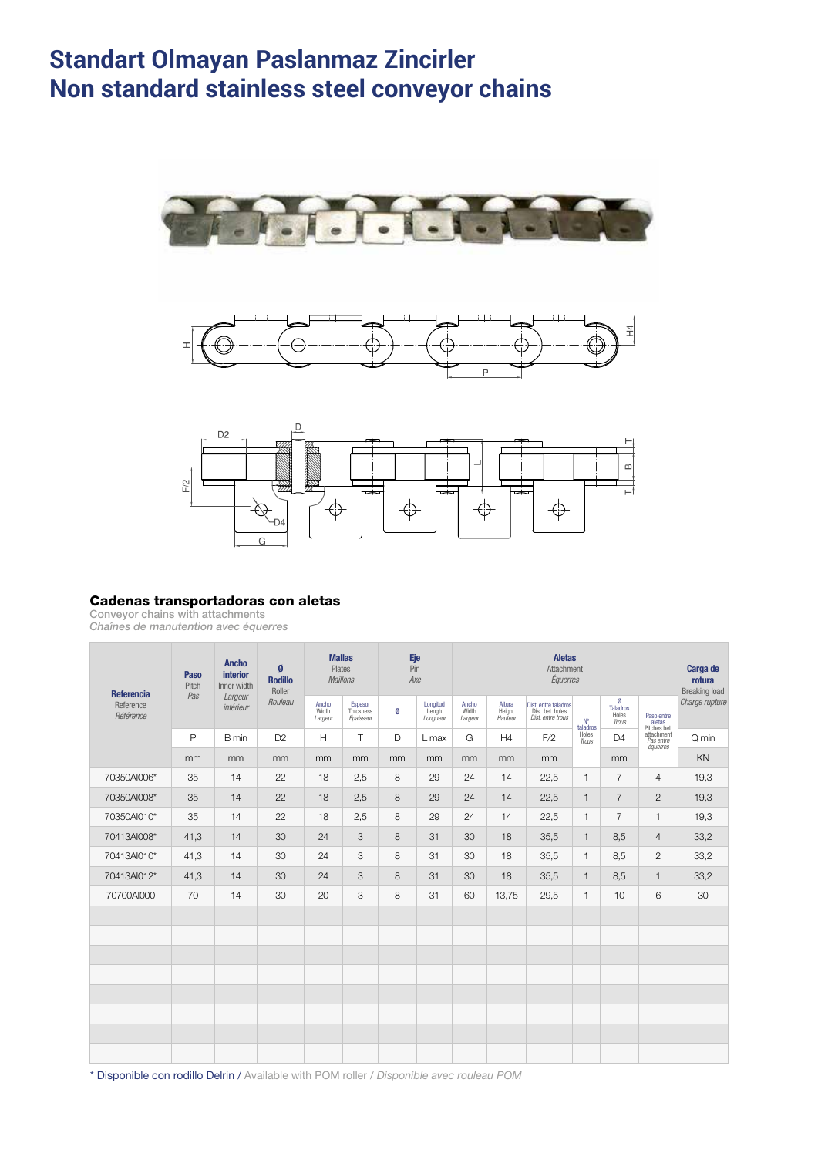#### **Standart Olmayan Paslanmaz Zincirler Non standard stainless steel conveyor chains** Non standard stainless steel conveyor chains CADENAS TRANSPORTADORAS NO ESTÁNDAR DE <sup>67</sup> ndart Olmavan Pa *Chaînes de manutention non standard acier inox*







### Cadenas transportadoras con aletas

Conveyor chains with attachments

*Chaînes de manutention avec équerres*

| <b>Referencia</b><br>Reference<br>Référence | Paso<br>Pitch<br>Pas | <b>Ancho</b><br>interior<br>Inner width<br>Largeur<br>intérieur | Ø<br><b>Rodillo</b><br>Roller<br>Rouleau | <b>Mallas</b><br><b>Plates</b><br><b>Maillons</b> |                                   | Eje<br>Pin<br>Axe |                               | <b>Aletas</b><br>Attachment<br>Équerres |                             |                                                               |                |                                        |                                      | Carga de<br>rotura<br><b>Breaking load</b> |
|---------------------------------------------|----------------------|-----------------------------------------------------------------|------------------------------------------|---------------------------------------------------|-----------------------------------|-------------------|-------------------------------|-----------------------------------------|-----------------------------|---------------------------------------------------------------|----------------|----------------------------------------|--------------------------------------|--------------------------------------------|
|                                             |                      |                                                                 |                                          | Ancho<br>Width<br>Largeur                         | Espesor<br>Thickness<br>Épaisseur | Ø                 | Longitud<br>Lengh<br>Longueur | Ancho<br>Width<br>Largeur               | Altura<br>Height<br>Hauteur | Dist. entre taladros<br>Dist. bet. holes<br>Dist. entre trous | N°<br>taladros | Ø<br><b>Taladros</b><br>Holes<br>Trous | Paso entre<br>aletas<br>Pitches bet. | Charge rupture                             |
|                                             | P                    | B min                                                           | D <sub>2</sub>                           | H                                                 | T                                 | D                 | $L$ max                       | G                                       | H4                          | F/2                                                           | Holes<br>Trous | D4                                     | attachment<br>Pas entre<br>équerres  | Q min                                      |
|                                             | mm                   | mm                                                              | mm                                       | mm                                                | mm                                | mm                | <sub>mm</sub>                 | mm                                      | mm                          | mm                                                            |                | mm                                     |                                      | KN                                         |
| 70350AI006*                                 | 35                   | 14                                                              | 22                                       | 18                                                | 2,5                               | 8                 | 29                            | 24                                      | 14                          | 22,5                                                          | 1              | $\overline{7}$                         | 4                                    | 19,3                                       |
| 70350AI008*                                 | 35                   | 14                                                              | 22                                       | 18                                                | 2,5                               | 8                 | 29                            | 24                                      | 14                          | 22,5                                                          | $\mathbf{1}$   | $\overline{7}$                         | 2                                    | 19,3                                       |
| 70350AI010*                                 | 35                   | 14                                                              | 22                                       | 18                                                | 2,5                               | 8                 | 29                            | 24                                      | 14                          | 22,5                                                          | $\mathbf{1}$   | $\overline{7}$                         | $\mathbf{1}$                         | 19,3                                       |
| 70413AI008*                                 | 41,3                 | 14                                                              | 30                                       | 24                                                | 3                                 | 8                 | 31                            | 30                                      | 18                          | 35,5                                                          | $\mathbf{1}$   | 8,5                                    | $\overline{4}$                       | 33,2                                       |
| 70413Al010*                                 | 41,3                 | 14                                                              | 30                                       | 24                                                | 3                                 | 8                 | 31                            | 30                                      | 18                          | 35,5                                                          | 1.             | 8,5                                    | $\mathbf{2}$                         | 33,2                                       |
| 70413Al012*                                 | 41,3                 | 14                                                              | 30                                       | 24                                                | 3                                 | 8                 | 31                            | 30                                      | 18                          | 35,5                                                          | $\mathbf{1}$   | 8,5                                    | $\mathbf{1}$                         | 33,2                                       |
| 70700AI000                                  | 70                   | 14                                                              | 30                                       | 20                                                | 3                                 | 8                 | 31                            | 60                                      | 13.75                       | 29,5                                                          | 1.             | 10                                     | 6                                    | 30                                         |
|                                             |                      |                                                                 |                                          |                                                   |                                   |                   |                               |                                         |                             |                                                               |                |                                        |                                      |                                            |
|                                             |                      |                                                                 |                                          |                                                   |                                   |                   |                               |                                         |                             |                                                               |                |                                        |                                      |                                            |
|                                             |                      |                                                                 |                                          |                                                   |                                   |                   |                               |                                         |                             |                                                               |                |                                        |                                      |                                            |
|                                             |                      |                                                                 |                                          |                                                   |                                   |                   |                               |                                         |                             |                                                               |                |                                        |                                      |                                            |
|                                             |                      |                                                                 |                                          |                                                   |                                   |                   |                               |                                         |                             |                                                               |                |                                        |                                      |                                            |
|                                             |                      |                                                                 |                                          |                                                   |                                   |                   |                               |                                         |                             |                                                               |                |                                        |                                      |                                            |
|                                             |                      |                                                                 |                                          |                                                   |                                   |                   |                               |                                         |                             |                                                               |                |                                        |                                      |                                            |
|                                             |                      |                                                                 |                                          |                                                   |                                   |                   |                               |                                         |                             |                                                               |                |                                        |                                      |                                            |

\* Disponible con rodillo Delrin / Available with POM roller / *Disponible avec rouleau POM*